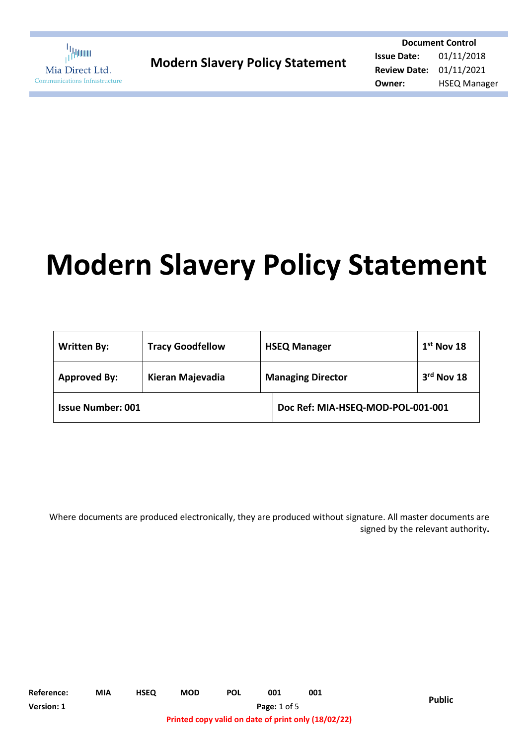

# **Modern Slavery Policy Statement**

| <b>Written By:</b>       | <b>Tracy Goodfellow</b> | <b>HSEQ Manager</b>               | $1st$ Nov 18 |  |
|--------------------------|-------------------------|-----------------------------------|--------------|--|
| <b>Approved By:</b>      | Kieran Majevadia        | <b>Managing Director</b>          | 3rd Nov 18   |  |
| <b>Issue Number: 001</b> |                         | Doc Ref: MIA-HSEQ-MOD-POL-001-001 |              |  |

Where documents are produced electronically, they are produced without signature. All master documents are signed by the relevant authority**.**

**Printed copy valid on date of print only (18/02/22)**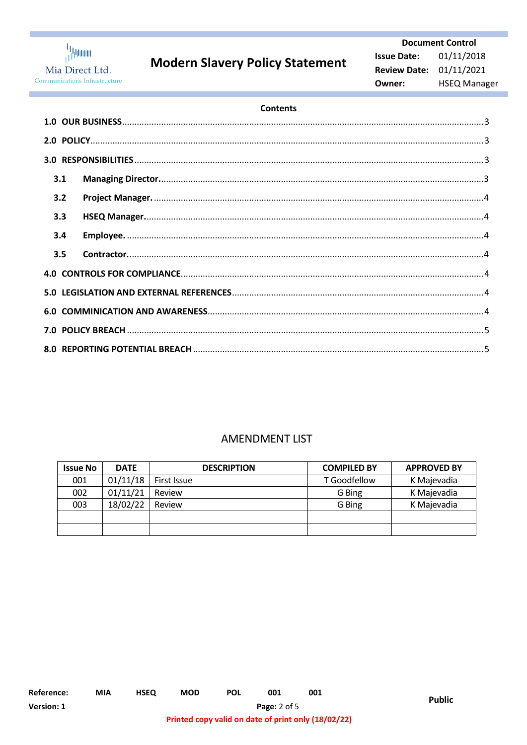

## **Modern Slavery Policy Statement**

**Document Control** 01/11/2018 **Issue Date: Review Date:** 01/11/2021 Owner: **HSEQ Manager** 

#### **Contents**

| 3.1 |  |  |  |  |  |  |
|-----|--|--|--|--|--|--|
| 3.2 |  |  |  |  |  |  |
| 3.3 |  |  |  |  |  |  |
| 3.4 |  |  |  |  |  |  |
| 3.5 |  |  |  |  |  |  |
|     |  |  |  |  |  |  |
|     |  |  |  |  |  |  |
|     |  |  |  |  |  |  |
|     |  |  |  |  |  |  |
|     |  |  |  |  |  |  |

### **AMENDMENT LIST**

| <b>Issue No</b> | <b>DATE</b> | <b>DESCRIPTION</b> | <b>COMPILED BY</b> | <b>APPROVED BY</b> |
|-----------------|-------------|--------------------|--------------------|--------------------|
| 001             | 01/11/18    | First Issue        | T Goodfellow       | K Majevadia        |
| 002             | 01/11/21    | Review             | G Bing             | K Majevadia        |
| 003             | 18/02/22    | Review             | G Bing             | K Majevadia        |
|                 |             |                    |                    |                    |
|                 |             |                    |                    |                    |

**HSEQ** 

**MOD**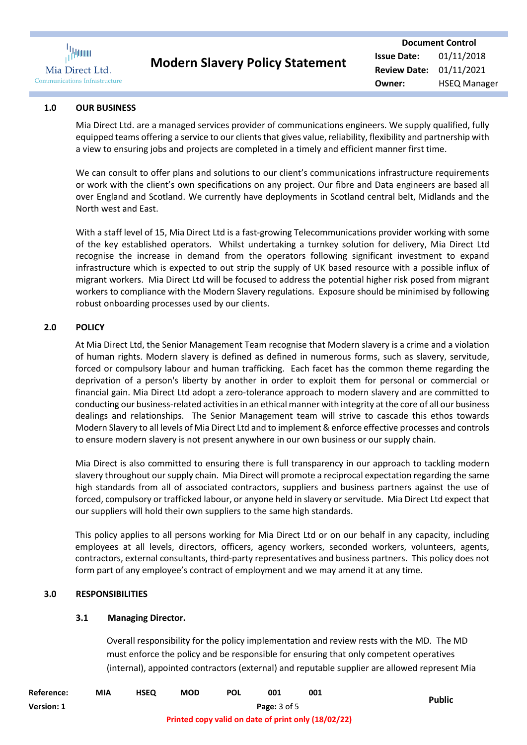

#### <span id="page-2-0"></span>**1.0 OUR BUSINESS**

Mia Direct Ltd. are a managed services provider of communications engineers. We supply qualified, fully equipped teams offering a service to our clients that gives value, reliability, flexibility and partnership with a view to ensuring jobs and projects are completed in a timely and efficient manner first time.

We can consult to offer plans and solutions to our client's communications infrastructure requirements or work with the client's own specifications on any project. Our fibre and Data engineers are based all over England and Scotland. We currently have deployments in Scotland central belt, Midlands and the North west and East.

With a staff level of 15, Mia Direct Ltd is a fast-growing Telecommunications provider working with some of the key established operators. Whilst undertaking a turnkey solution for delivery, Mia Direct Ltd recognise the increase in demand from the operators following significant investment to expand infrastructure which is expected to out strip the supply of UK based resource with a possible influx of migrant workers. Mia Direct Ltd will be focused to address the potential higher risk posed from migrant workers to compliance with the Modern Slavery regulations. Exposure should be minimised by following robust onboarding processes used by our clients.

#### <span id="page-2-1"></span>**2.0 POLICY**

At Mia Direct Ltd, the Senior Management Team recognise that Modern slavery is a crime and a violation of human rights. Modern slavery is defined as defined in numerous forms, such as slavery, servitude, forced or compulsory labour and human trafficking. Each facet has the common theme regarding the deprivation of a person's liberty by another in order to exploit them for personal or commercial or financial gain. Mia Direct Ltd adopt a zero-tolerance approach to modern slavery and are committed to conducting our business-related activities in an ethical manner with integrity at the core of all our business dealings and relationships. The Senior Management team will strive to cascade this ethos towards Modern Slavery to all levels of Mia Direct Ltd and to implement & enforce effective processes and controls to ensure modern slavery is not present anywhere in our own business or our supply chain.

Mia Direct is also committed to ensuring there is full transparency in our approach to tackling modern slavery throughout our supply chain. Mia Direct will promote a reciprocal expectation regarding the same high standards from all of associated contractors, suppliers and business partners against the use of forced, compulsory or trafficked labour, or anyone held in slavery or servitude. Mia Direct Ltd expect that our suppliers will hold their own suppliers to the same high standards.

This policy applies to all persons working for Mia Direct Ltd or on our behalf in any capacity, including employees at all levels, directors, officers, agency workers, seconded workers, volunteers, agents, contractors, external consultants, third-party representatives and business partners. This policy does not form part of any employee's contract of employment and we may amend it at any time.

#### <span id="page-2-3"></span><span id="page-2-2"></span>**3.0 RESPONSIBILITIES**

#### **3.1 Managing Director.**

Overall responsibility for the policy implementation and review rests with the MD. The MD must enforce the policy and be responsible for ensuring that only competent operatives (internal), appointed contractors (external) and reputable supplier are allowed represent Mia

| <b>Reference:</b> | <b>MIA</b> | <b>HSEO</b> | <b>MOD</b>              | <b>POL</b> | 001 | 001 |  |
|-------------------|------------|-------------|-------------------------|------------|-----|-----|--|
| Version: 1        |            |             | <b>Page:</b> $3$ of $5$ |            |     |     |  |

**Public**

**Printed copy valid on date of print only (18/02/22)**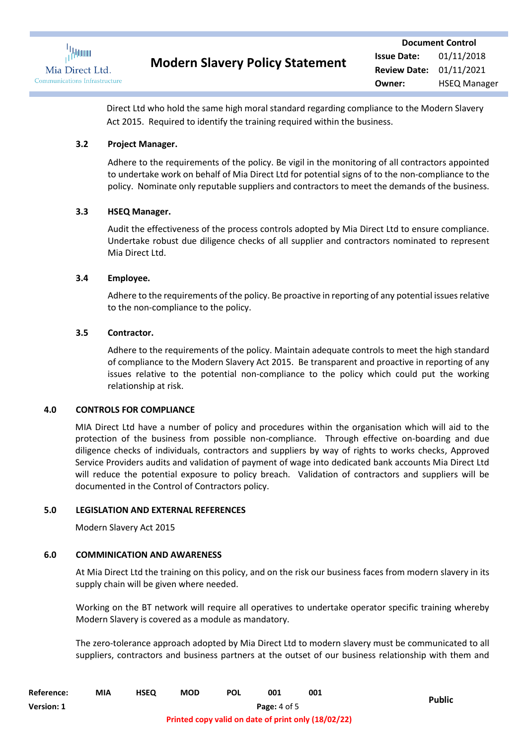

Direct Ltd who hold the same high moral standard regarding compliance to the Modern Slavery Act 2015. Required to identify the training required within the business.

#### <span id="page-3-0"></span>**3.2 Project Manager.**

Adhere to the requirements of the policy. Be vigil in the monitoring of all contractors appointed to undertake work on behalf of Mia Direct Ltd for potential signs of to the non-compliance to the policy. Nominate only reputable suppliers and contractors to meet the demands of the business.

#### <span id="page-3-1"></span>**3.3 HSEQ Manager.**

Audit the effectiveness of the process controls adopted by Mia Direct Ltd to ensure compliance. Undertake robust due diligence checks of all supplier and contractors nominated to represent Mia Direct Ltd.

#### <span id="page-3-2"></span>**3.4 Employee.**

Adhere to the requirements of the policy. Be proactive in reporting of any potential issues relative to the non-compliance to the policy.

#### <span id="page-3-3"></span>**3.5 Contractor.**

Adhere to the requirements of the policy. Maintain adequate controls to meet the high standard of compliance to the Modern Slavery Act 2015. Be transparent and proactive in reporting of any issues relative to the potential non-compliance to the policy which could put the working relationship at risk.

#### <span id="page-3-4"></span>**4.0 CONTROLS FOR COMPLIANCE**

MIA Direct Ltd have a number of policy and procedures within the organisation which will aid to the protection of the business from possible non-compliance. Through effective on-boarding and due diligence checks of individuals, contractors and suppliers by way of rights to works checks, Approved Service Providers audits and validation of payment of wage into dedicated bank accounts Mia Direct Ltd will reduce the potential exposure to policy breach. Validation of contractors and suppliers will be documented in the Control of Contractors policy.

#### <span id="page-3-5"></span>**5.0 LEGISLATION AND EXTERNAL REFERENCES**

Modern Slavery Act 2015

#### **6.0 COMMINICATION AND AWARENESS**

<span id="page-3-6"></span>At Mia Direct Ltd the training on this policy, and on the risk our business faces from modern slavery in its supply chain will be given where needed.

Working on the BT network will require all operatives to undertake operator specific training whereby Modern Slavery is covered as a module as mandatory.

The zero-tolerance approach adopted by Mia Direct Ltd to modern slavery must be communicated to all suppliers, contractors and business partners at the outset of our business relationship with them and

| <b>Reference:</b> | MIA | <b>HSEQ</b> | <b>MOD</b> | <b>POL</b> | 001 | 001 |
|-------------------|-----|-------------|------------|------------|-----|-----|
|                   |     |             |            |            |     |     |